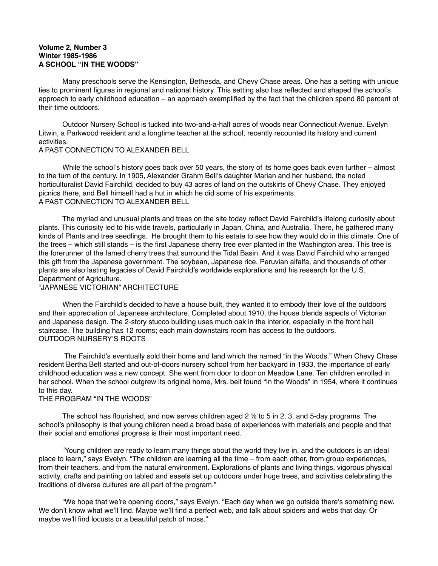## **Volume 2, Number 3 Winter 1985-1986 A SCHOOL "IN THE WOODS"**

 Many preschools serve the Kensington, Bethesda, and Chevy Chase areas. One has a setting with unique ties to prominent figures in regional and national history. This setting also has reflected and shaped the school's approach to early childhood education – an approach exemplified by the fact that the children spend 80 percent of their time outdoors.

 Outdoor Nursery School is tucked into two-and-a-half acres of woods near Connecticut Avenue. Evelyn Litwin, a Parkwood resident and a longtime teacher at the school, recently recounted its history and current activities.

## A PAST CONNECTION TO ALEXANDER BELL

While the school's history goes back over 50 years, the story of its home goes back even further – almost to the turn of the century. In 1905, Alexander Grahm Bell's daughter Marian and her husband, the noted horticulturalist David Fairchild, decided to buy 43 acres of land on the outskirts of Chevy Chase. They enjoyed picnics there, and Bell himself had a hut in which he did some of his experiments. A PAST CONNECTION TO ALEXANDER BELL

 The myriad and unusual plants and trees on the site today reflect David Fairchild's lifelong curiosity about plants. This curiosity led to his wide travels, particularly in Japan, China, and Australia. There, he gathered many kinds of Plants and tree seedlings. He brought them to his estate to see how they would do in this climate. One of the trees – which still stands – is the first Japanese cherry tree ever planted in the Washington area. This tree is the forerunner of the famed cherry trees that surround the Tidal Basin. And it was David Fairchild who arranged this gift from the Japanese government. The soybean, Japanese rice, Peruvian alfalfa, and thousands of other plants are also lasting legacies of David Fairchild's worldwide explorations and his research for the U.S. Department of Agriculture.

## "JAPANESE VICTORIAN" ARCHITECTURE

 When the Fairchild's decided to have a house built, they wanted it to embody their love of the outdoors and their appreciation of Japanese architecture. Completed about 1910, the house blends aspects of Victorian and Japanese design. The 2-story stucco building uses much oak in the interior, especially in the front hall staircase. The building has 12 rooms; each main downstairs room has access to the outdoors. OUTDOOR NURSERY'S ROOTS

 The Fairchild's eventually sold their home and land which the named "in the Woods." When Chevy Chase resident Bertha Belt started and out-of-doors nursery school from her backyard in 1933, the importance of early childhood education was a new concept. She went from door to door on Meadow Lane. Ten children enrolled in her school. When the school outgrew its original home, Mrs. belt found "In the Woods" in 1954, where it continues to this day.

## THE PROGRAM "IN THE WOODS"

The school has flourished, and now serves children aged  $2 \frac{1}{2}$  to 5 in 2, 3, and 5-day programs. The school's philosophy is that young children need a broad base of experiences with materials and people and that their social and emotional progress is their most important need.

 "Young children are ready to learn many things about the world they live in, and the outdoors is an ideal place to learn," says Evelyn. "The children are learning all the time – from each other, from group experiences, from their teachers, and from the natural environment. Explorations of plants and living things, vigorous physical activity, crafts and painting on tabled and easels set up outdoors under huge trees, and activities celebrating the traditions of diverse cultures are all part of the program."

 "We hope that we're opening doors," says Evelyn. "Each day when we go outside there's something new. We don't know what we'll find. Maybe we'll find a perfect web, and talk about spiders and webs that day. Or maybe we'll find locusts or a beautiful patch of moss."